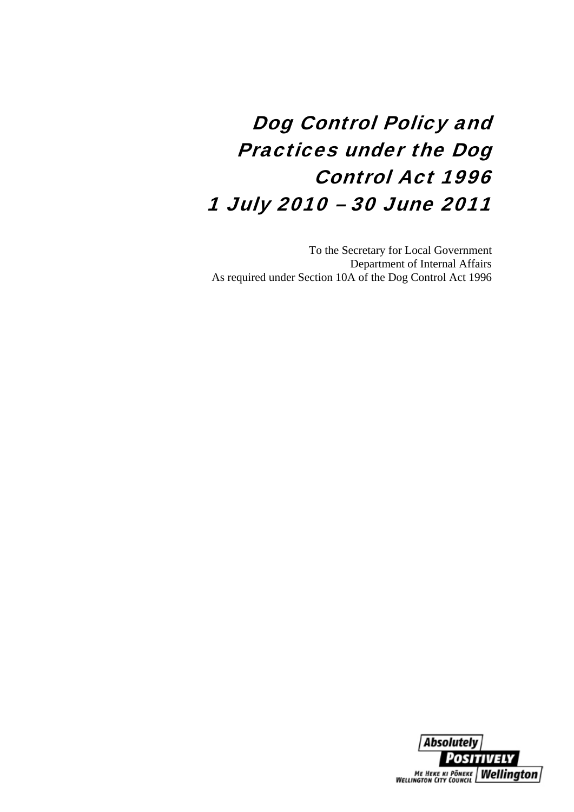# Dog Control Policy and Practices under the Dog Control Act 1996 1 July 2010 – 30 June 2011

To the Secretary for Local Government Department of Internal Affairs As required under Section 10A of the Dog Control Act 1996

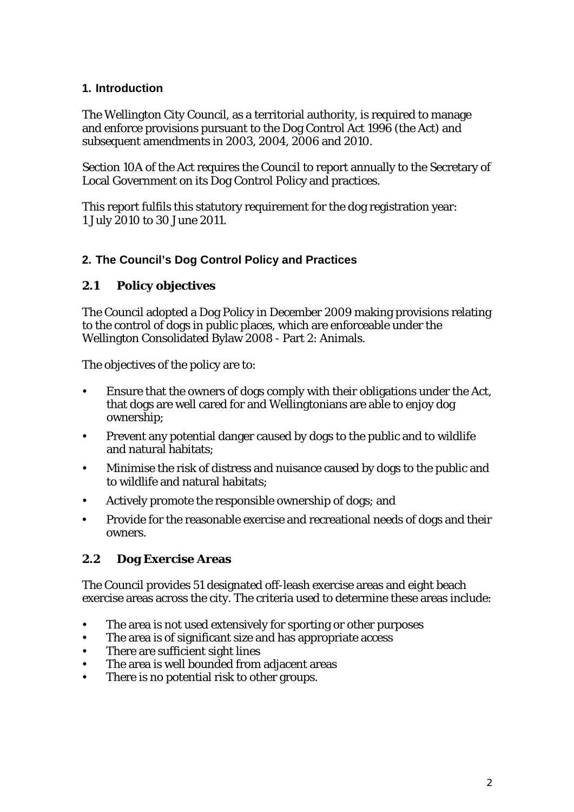### **1. Introduction**

The Wellington City Council, as a territorial authority, is required to manage and enforce provisions pursuant to the Dog Control Act 1996 (the Act) and subsequent amendments in 2003, 2004, 2006 and 2010.

Section 10A of the Act requires the Council to report annually to the Secretary of Local Government on its Dog Control Policy and practices.

This report fulfils this statutory requirement for the dog registration year: 1 July 2010 to 30 June 2011.

### **2. The Council's Dog Control Policy and Practices**

#### **2.1 Policy objectives**

The Council adopted a Dog Policy in December 2009 making provisions relating to the control of dogs in public places, which are enforceable under the Wellington Consolidated Bylaw 2008 - Part 2: Animals.

The objectives of the policy are to:

- Ensure that the owners of dogs comply with their obligations under the Act, that dogs are well cared for and Wellingtonians are able to enjoy dog ownership;
- Prevent any potential danger caused by dogs to the public and to wildlife and natural habitats;
- Minimise the risk of distress and nuisance caused by dogs to the public and to wildlife and natural habitats;
- Actively promote the responsible ownership of dogs; and
- Provide for the reasonable exercise and recreational needs of dogs and their owners.

### **2.2 Dog Exercise Areas**

The Council provides 51 designated off-leash exercise areas and eight beach exercise areas across the city. The criteria used to determine these areas include:

- The area is not used extensively for sporting or other purposes
- The area is of significant size and has appropriate access
- There are sufficient sight lines
- The area is well bounded from adjacent areas
- There is no potential risk to other groups.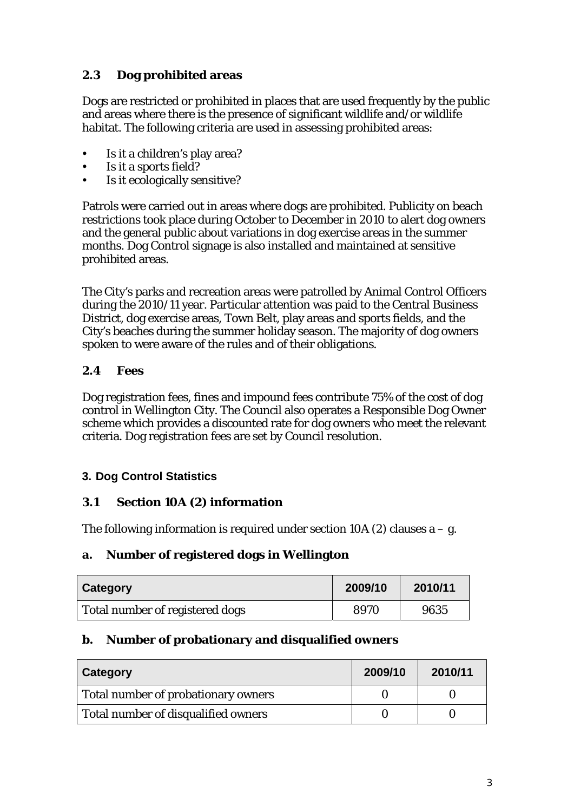## **2.3 Dog prohibited areas**

Dogs are restricted or prohibited in places that are used frequently by the public and areas where there is the presence of significant wildlife and/or wildlife habitat. The following criteria are used in assessing prohibited areas:

- Is it a children's play area?
- Is it a sports field?
- Is it ecologically sensitive?

Patrols were carried out in areas where dogs are prohibited. Publicity on beach restrictions took place during October to December in 2010 to alert dog owners and the general public about variations in dog exercise areas in the summer months. Dog Control signage is also installed and maintained at sensitive prohibited areas.

The City's parks and recreation areas were patrolled by Animal Control Officers during the 2010/11 year. Particular attention was paid to the Central Business District, dog exercise areas, Town Belt, play areas and sports fields, and the City's beaches during the summer holiday season. The majority of dog owners spoken to were aware of the rules and of their obligations.

## **2.4 Fees**

Dog registration fees, fines and impound fees contribute 75% of the cost of dog control in Wellington City. The Council also operates a Responsible Dog Owner scheme which provides a discounted rate for dog owners who meet the relevant criteria. Dog registration fees are set by Council resolution.

### **3. Dog Control Statistics**

### **3.1 Section 10A (2) information**

The following information is required under section 10A (2) clauses  $a - g$ .

### **a. Number of registered dogs in Wellington**

| Category                        | 2009/10 | 2010/11 |
|---------------------------------|---------|---------|
| Total number of registered dogs | 8970    | 9635    |

#### **b. Number of probationary and disqualified owners**

| Category                            | 2009/10 | 2010/11 |
|-------------------------------------|---------|---------|
| Total number of probationary owners |         |         |
| Total number of disqualified owners |         |         |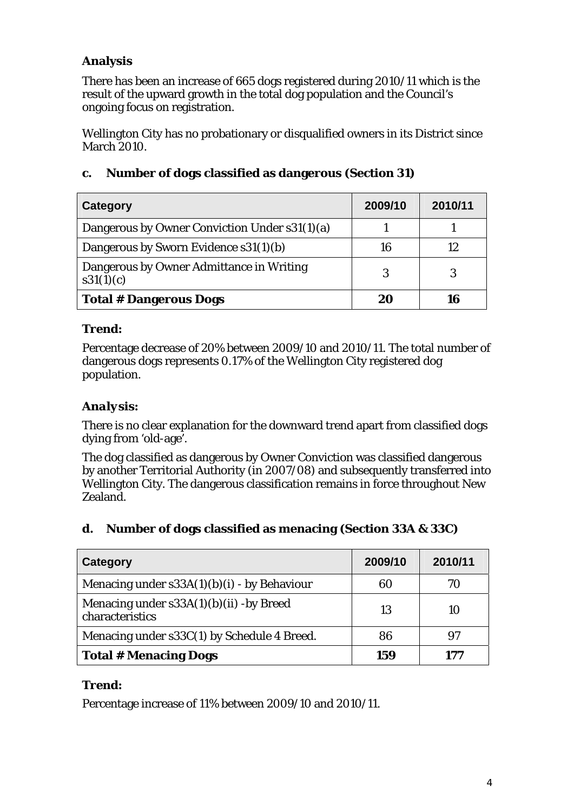# **Analysis**

There has been an increase of 665 dogs registered during 2010/11 which is the result of the upward growth in the total dog population and the Council's ongoing focus on registration.

Wellington City has no probationary or disqualified owners in its District since March 2010.

| Category                                              | 2009/10 | 2010/11 |
|-------------------------------------------------------|---------|---------|
| Dangerous by Owner Conviction Under s31(1)(a)         |         |         |
| Dangerous by Sworn Evidence s31(1)(b)                 | 16      | 12      |
| Dangerous by Owner Admittance in Writing<br>s31(1)(c) | 3       | 3       |
| <b>Total # Dangerous Dogs</b>                         | 20      | 16      |

## **c. Number of dogs classified as dangerous (Section 31)**

## *Trend:*

Percentage decrease of 20% between 2009/10 and 2010/11. The total number of dangerous dogs represents 0.17% of the Wellington City registered dog population.

## *Analysis:*

There is no clear explanation for the downward trend apart from classified dogs dying from 'old-age'.

The dog classified as dangerous by Owner Conviction was classified dangerous by another Territorial Authority (in 2007/08) and subsequently transferred into Wellington City. The dangerous classification remains in force throughout New Zealand.

### **d. Number of dogs classified as menacing (Section 33A & 33C)**

| Category                                                     | 2009/10 | 2010/11 |
|--------------------------------------------------------------|---------|---------|
| Menacing under $s33A(1)(b)(i)$ - by Behaviour                | 60      | 70      |
| Menacing under $s33A(1)(b)(ii)$ -by Breed<br>characteristics | 13      | 10      |
| Menacing under s33C(1) by Schedule 4 Breed.                  | 86      | 97      |
| <b>Total # Menacing Dogs</b>                                 | 159     | 177     |

## *Trend:*

Percentage increase of 11% between 2009/10 and 2010/11.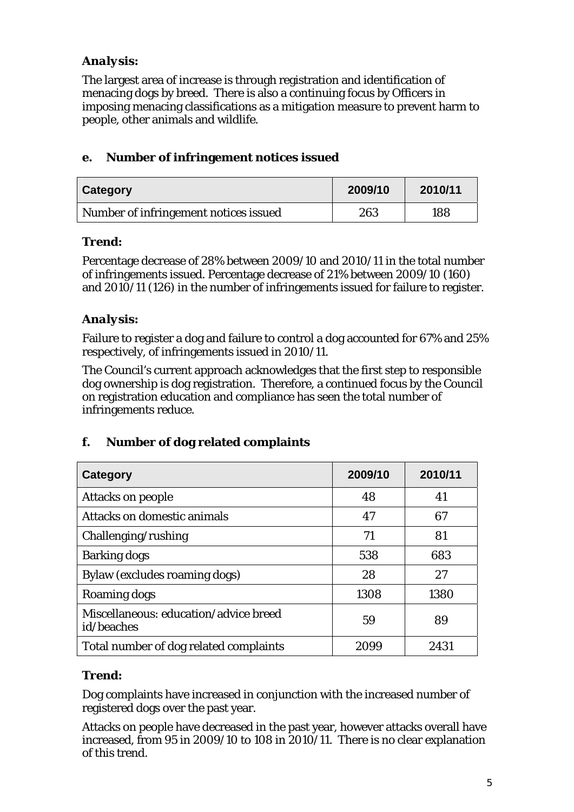## *Analysis:*

The largest area of increase is through registration and identification of menacing dogs by breed. There is also a continuing focus by Officers in imposing menacing classifications as a mitigation measure to prevent harm to people, other animals and wildlife.

## **e. Number of infringement notices issued**

| Category                              | 2009/10 | 2010/11 |
|---------------------------------------|---------|---------|
| Number of infringement notices issued | 263     | 188     |

## *Trend:*

Percentage decrease of 28% between 2009/10 and 2010/11 in the total number of infringements issued. Percentage decrease of 21% between 2009/10 (160) and 2010/11 (126) in the number of infringements issued for failure to register.

## *Analysis:*

Failure to register a dog and failure to control a dog accounted for 67% and 25% respectively, of infringements issued in 2010/11.

The Council's current approach acknowledges that the first step to responsible dog ownership is dog registration. Therefore, a continued focus by the Council on registration education and compliance has seen the total number of infringements reduce.

## **f. Number of dog related complaints**

| Category                                            | 2009/10 | 2010/11 |
|-----------------------------------------------------|---------|---------|
| <b>Attacks on people</b>                            | 48      | 41      |
| Attacks on domestic animals                         | 47      | 67      |
| Challenging/rushing                                 | 71      | 81      |
| <b>Barking dogs</b>                                 | 538     | 683     |
| Bylaw (excludes roaming dogs)                       | 28      | 27      |
| Roaming dogs                                        | 1308    | 1380    |
| Miscellaneous: education/advice breed<br>id/beaches | 59      | 89      |
| Total number of dog related complaints              | 2099    | 2431    |

## *Trend:*

Dog complaints have increased in conjunction with the increased number of registered dogs over the past year.

Attacks on people have decreased in the past year, however attacks overall have increased, from 95 in 2009/10 to 108 in 2010/11. There is no clear explanation of this trend.